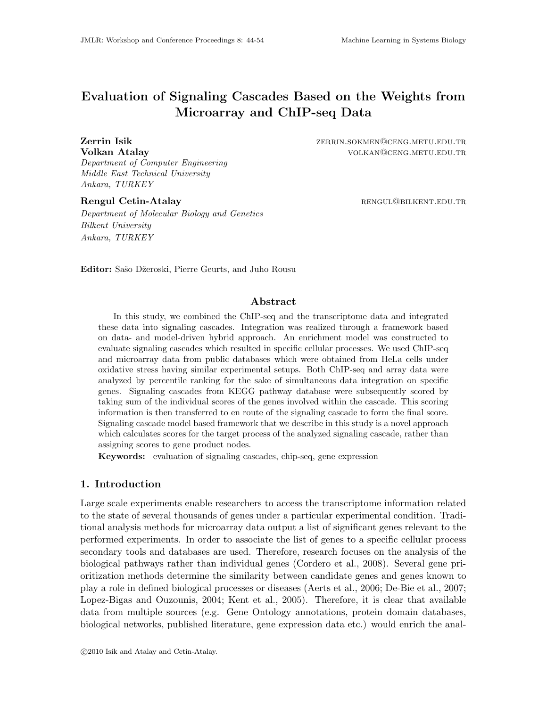# Evaluation of Signaling Cascades Based on the Weights from Microarray and ChIP-seq Data

Department of Computer Engineering Middle East Technical University Ankara, TURKEY

Department of Molecular Biology and Genetics Bilkent University Ankara, TURKEY

**Zerrin Isik 2008** 2ERRIN.SOKMEN@CENG.METU.EDU.TR **Volkan Atalay volkan Atalay volkan** volkan volkan volkan volkan volkan volkan volkan volkan volkan volkan volkan v

Rengul Cetin-Atalay **Rengul Cetin-Atalay RENGUL@BILKENT.EDU.TR** 

Editor: Sašo Džeroski, Pierre Geurts, and Juho Rousu

# Abstract

In this study, we combined the ChIP-seq and the transcriptome data and integrated these data into signaling cascades. Integration was realized through a framework based on data- and model-driven hybrid approach. An enrichment model was constructed to evaluate signaling cascades which resulted in specific cellular processes. We used ChIP-seq and microarray data from public databases which were obtained from HeLa cells under oxidative stress having similar experimental setups. Both ChIP-seq and array data were analyzed by percentile ranking for the sake of simultaneous data integration on specific genes. Signaling cascades from KEGG pathway database were subsequently scored by taking sum of the individual scores of the genes involved within the cascade. This scoring information is then transferred to en route of the signaling cascade to form the final score. Signaling cascade model based framework that we describe in this study is a novel approach which calculates scores for the target process of the analyzed signaling cascade, rather than assigning scores to gene product nodes.

Keywords: evaluation of signaling cascades, chip-seq, gene expression

# 1. Introduction

Large scale experiments enable researchers to access the transcriptome information related to the state of several thousands of genes under a particular experimental condition. Traditional analysis methods for microarray data output a list of significant genes relevant to the performed experiments. In order to associate the list of genes to a specific cellular process secondary tools and databases are used. Therefore, research focuses on the analysis of the biological pathways rather than individual genes (Cordero et al., 2008). Several gene prioritization methods determine the similarity between candidate genes and genes known to play a role in defined biological processes or diseases (Aerts et al., 2006; De-Bie et al., 2007; Lopez-Bigas and Ouzounis, 2004; Kent et al., 2005). Therefore, it is clear that available data from multiple sources (e.g. Gene Ontology annotations, protein domain databases, biological networks, published literature, gene expression data etc.) would enrich the anal-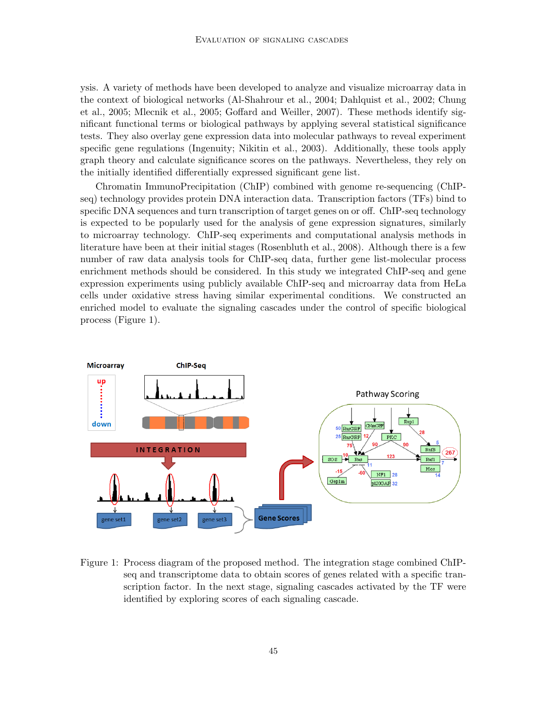ysis. A variety of methods have been developed to analyze and visualize microarray data in the context of biological networks (Al-Shahrour et al., 2004; Dahlquist et al., 2002; Chung et al., 2005; Mlecnik et al., 2005; Goffard and Weiller, 2007). These methods identify significant functional terms or biological pathways by applying several statistical significance tests. They also overlay gene expression data into molecular pathways to reveal experiment specific gene regulations (Ingenuity; Nikitin et al., 2003). Additionally, these tools apply graph theory and calculate significance scores on the pathways. Nevertheless, they rely on the initially identified differentially expressed significant gene list.

Chromatin ImmunoPrecipitation (ChIP) combined with genome re-sequencing (ChIPseq) technology provides protein DNA interaction data. Transcription factors (TFs) bind to specific DNA sequences and turn transcription of target genes on or off. ChIP-seq technology is expected to be popularly used for the analysis of gene expression signatures, similarly to microarray technology. ChIP-seq experiments and computational analysis methods in literature have been at their initial stages (Rosenbluth et al., 2008). Although there is a few number of raw data analysis tools for ChIP-seq data, further gene list-molecular process enrichment methods should be considered. In this study we integrated ChIP-seq and gene expression experiments using publicly available ChIP-seq and microarray data from HeLa cells under oxidative stress having similar experimental conditions. We constructed an enriched model to evaluate the signaling cascades under the control of specific biological process (Figure 1).



Figure 1: Process diagram of the proposed method. The integration stage combined ChIPseq and transcriptome data to obtain scores of genes related with a specific transcription factor. In the next stage, signaling cascades activated by the TF were identified by exploring scores of each signaling cascade.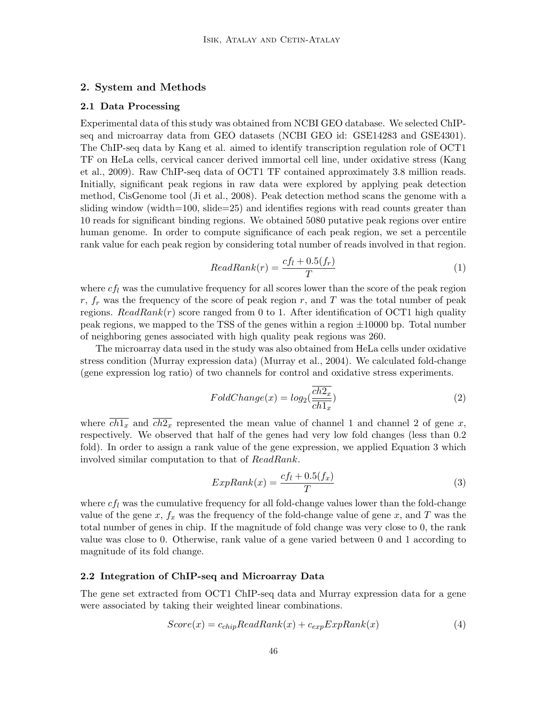# 2. System and Methods

### 2.1 Data Processing

Experimental data of this study was obtained from NCBI GEO database. We selected ChIPseq and microarray data from GEO datasets (NCBI GEO id: GSE14283 and GSE4301). The ChIP-seq data by Kang et al. aimed to identify transcription regulation role of OCT1 TF on HeLa cells, cervical cancer derived immortal cell line, under oxidative stress (Kang et al., 2009). Raw ChIP-seq data of OCT1 TF contained approximately 3.8 million reads. Initially, significant peak regions in raw data were explored by applying peak detection method, CisGenome tool (Ji et al., 2008). Peak detection method scans the genome with a sliding window (width=100, slide=25) and identifies regions with read counts greater than 10 reads for significant binding regions. We obtained 5080 putative peak regions over entire human genome. In order to compute significance of each peak region, we set a percentile rank value for each peak region by considering total number of reads involved in that region.

$$
ReadRank(r) = \frac{cf_l + 0.5(f_r)}{T}
$$
\n<sup>(1)</sup>

where  $cf_l$  was the cumulative frequency for all scores lower than the score of the peak region  $r, f_r$  was the frequency of the score of peak region r, and T was the total number of peak regions.  $ReadRank(r)$  score ranged from 0 to 1. After identification of OCT1 high quality peak regions, we mapped to the TSS of the genes within a region  $\pm 10000$  bp. Total number of neighboring genes associated with high quality peak regions was 260.

The microarray data used in the study was also obtained from HeLa cells under oxidative stress condition (Murray expression data) (Murray et al., 2004). We calculated fold-change (gene expression log ratio) of two channels for control and oxidative stress experiments.

$$
FoldChange(x) = log_2(\frac{\overline{ch2_x}}{\overline{ch1_x}})
$$
\n(2)

where  $\overline{ch1_x}$  and  $\overline{ch2_x}$  represented the mean value of channel 1 and channel 2 of gene x, respectively. We observed that half of the genes had very low fold changes (less than 0.2 fold). In order to assign a rank value of the gene expression, we applied Equation 3 which involved similar computation to that of ReadRank.

$$
ExpRank(x) = \frac{cf_l + 0.5(f_x)}{T}
$$
\n(3)

where  $cf_l$  was the cumulative frequency for all fold-change values lower than the fold-change value of the gene x,  $f_x$  was the frequency of the fold-change value of gene x, and T was the total number of genes in chip. If the magnitude of fold change was very close to 0, the rank value was close to 0. Otherwise, rank value of a gene varied between 0 and 1 according to magnitude of its fold change.

#### 2.2 Integration of ChIP-seq and Microarray Data

The gene set extracted from OCT1 ChIP-seq data and Murray expression data for a gene were associated by taking their weighted linear combinations.

$$
Score(x) = c_{chip} ReadRank(x) + c_{exp} ExpRank(x)
$$
\n(4)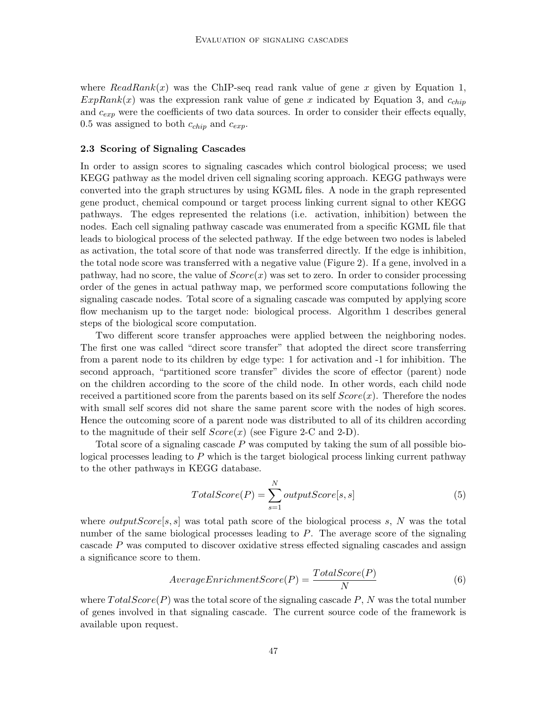where  $ReadRank(x)$  was the ChIP-seq read rank value of gene x given by Equation 1,  $ExpRank(x)$  was the expression rank value of gene x indicated by Equation 3, and  $c_{chip}$ and  $c_{exp}$  were the coefficients of two data sources. In order to consider their effects equally, 0.5 was assigned to both  $c_{chip}$  and  $c_{exp}$ .

#### 2.3 Scoring of Signaling Cascades

In order to assign scores to signaling cascades which control biological process; we used KEGG pathway as the model driven cell signaling scoring approach. KEGG pathways were converted into the graph structures by using KGML files. A node in the graph represented gene product, chemical compound or target process linking current signal to other KEGG pathways. The edges represented the relations (i.e. activation, inhibition) between the nodes. Each cell signaling pathway cascade was enumerated from a specific KGML file that leads to biological process of the selected pathway. If the edge between two nodes is labeled as activation, the total score of that node was transferred directly. If the edge is inhibition, the total node score was transferred with a negative value (Figure 2). If a gene, involved in a pathway, had no score, the value of  $Score(x)$  was set to zero. In order to consider processing order of the genes in actual pathway map, we performed score computations following the signaling cascade nodes. Total score of a signaling cascade was computed by applying score flow mechanism up to the target node: biological process. Algorithm 1 describes general steps of the biological score computation.

Two different score transfer approaches were applied between the neighboring nodes. The first one was called "direct score transfer" that adopted the direct score transferring from a parent node to its children by edge type: 1 for activation and -1 for inhibition. The second approach, "partitioned score transfer" divides the score of effector (parent) node on the children according to the score of the child node. In other words, each child node received a partitioned score from the parents based on its self  $Score(x)$ . Therefore the nodes with small self scores did not share the same parent score with the nodes of high scores. Hence the outcoming score of a parent node was distributed to all of its children according to the magnitude of their self  $Score(x)$  (see Figure 2-C and 2-D).

Total score of a signaling cascade P was computed by taking the sum of all possible biological processes leading to  $P$  which is the target biological process linking current pathway to the other pathways in KEGG database.

$$
TotalScore(P) = \sum_{s=1}^{N} outputScore[s, s]
$$
\n(5)

where  $outputScore[s, s]$  was total path score of the biological process s, N was the total number of the same biological processes leading to  $P$ . The average score of the signaling cascade P was computed to discover oxidative stress effected signaling cascades and assign a significance score to them.

$$
Average EnrichmentScore(P) = \frac{TotalScore(P)}{N}
$$
\n(6)

where  $TotalScore(P)$  was the total score of the signaling cascade P, N was the total number of genes involved in that signaling cascade. The current source code of the framework is available upon request.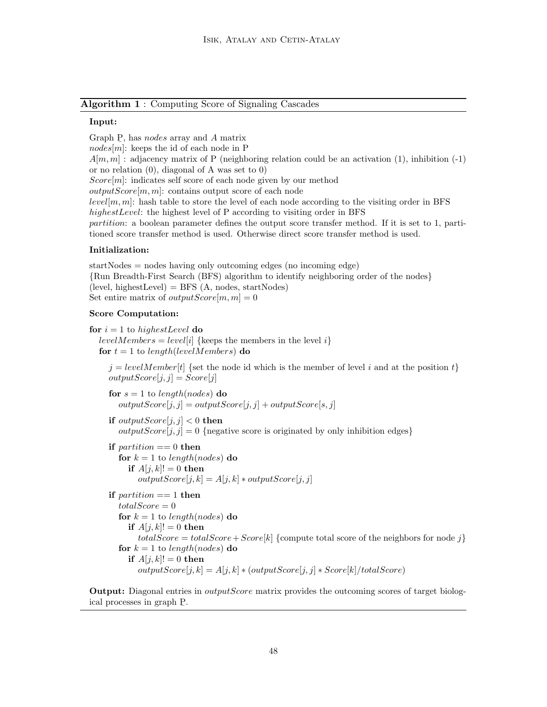Algorithm 1 : Computing Score of Signaling Cascades

# Input:

Graph P, has *nodes* array and A matrix  $nodes[m]$ : keeps the id of each node in P  $A[m, m]$ : adjacency matrix of P (neighboring relation could be an activation (1), inhibition (-1) or no relation (0), diagonal of A was set to 0)  $Score[m]$ : indicates self score of each node given by our method  $outputScore[m, m]$ : contains output score of each node  $level[m, m]$ : hash table to store the level of each node according to the visiting order in BFS highestLevel: the highest level of P according to visiting order in BFS partition: a boolean parameter defines the output score transfer method. If it is set to 1, partitioned score transfer method is used. Otherwise direct score transfer method is used.

### Initialization:

startNodes = nodes having only outcoming edges (no incoming edge) {Run Breadth-First Search (BFS) algorithm to identify neighboring order of the nodes}  $(level, highestLevel) = BFS (A, nodes, startNodes)$ Set entire matrix of *outputScore* $[m, m] = 0$ 

#### Score Computation:

for  $i = 1$  to highest Level do levelMembers = level[i] {keeps the members in the level i} for  $t = 1$  to length(levelMembers) do  $j = levelMember[t]$  {set the node id which is the member of level i and at the position t}  $outputScore[j, j] = Score[j]$ for  $s = 1$  to length(nodes) do  $outputScore[j, j] = outputScore[j, j] + outputScore[s, j]$ if  $outputScore[j, j] < 0$  then  $outputScore[j, j] = 0$  {negative score is originated by only inhibition edges} if *partition*  $== 0$  then for  $k = 1$  to length(nodes) do if  $A[i, k]! = 0$  then  $outputScore[j, k] = A[j, k] * outputScore[j, j]$ if  $partition == 1$  then  $totalScore = 0$ for  $k = 1$  to length(nodes) do if  $A[i, k]! = 0$  then  $totalScore = totalScore + Score[k]$  {compute total score of the neighbors for node j} for  $k = 1$  to length(nodes) do if  $A[j, k]! = 0$  then  $outputScore[j, k] = A[j, k] * (outputScore[j, j] * Score[k]/totalScore)$ 

**Output:** Diagonal entries in *outputScore* matrix provides the outcoming scores of target biological processes in graph P.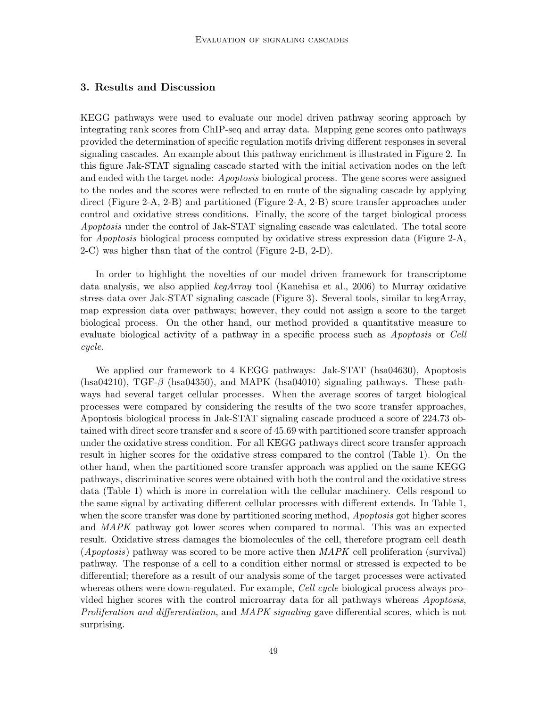# 3. Results and Discussion

KEGG pathways were used to evaluate our model driven pathway scoring approach by integrating rank scores from ChIP-seq and array data. Mapping gene scores onto pathways provided the determination of specific regulation motifs driving different responses in several signaling cascades. An example about this pathway enrichment is illustrated in Figure 2. In this figure Jak-STAT signaling cascade started with the initial activation nodes on the left and ended with the target node: Apoptosis biological process. The gene scores were assigned to the nodes and the scores were reflected to en route of the signaling cascade by applying direct (Figure 2-A, 2-B) and partitioned (Figure 2-A, 2-B) score transfer approaches under control and oxidative stress conditions. Finally, the score of the target biological process Apoptosis under the control of Jak-STAT signaling cascade was calculated. The total score for *Apoptosis* biological process computed by oxidative stress expression data (Figure 2-A, 2-C) was higher than that of the control (Figure 2-B, 2-D).

In order to highlight the novelties of our model driven framework for transcriptome data analysis, we also applied  $keqArray$  tool (Kanehisa et al., 2006) to Murray oxidative stress data over Jak-STAT signaling cascade (Figure 3). Several tools, similar to kegArray, map expression data over pathways; however, they could not assign a score to the target biological process. On the other hand, our method provided a quantitative measure to evaluate biological activity of a pathway in a specific process such as Apoptosis or Cell cycle.

We applied our framework to 4 KEGG pathways: Jak-STAT (hsa04630), Apoptosis (hsa $04210$ ), TGF- $\beta$  (hsa $04350$ ), and MAPK (hsa $04010$ ) signaling pathways. These pathways had several target cellular processes. When the average scores of target biological processes were compared by considering the results of the two score transfer approaches, Apoptosis biological process in Jak-STAT signaling cascade produced a score of 224.73 obtained with direct score transfer and a score of 45.69 with partitioned score transfer approach under the oxidative stress condition. For all KEGG pathways direct score transfer approach result in higher scores for the oxidative stress compared to the control (Table 1). On the other hand, when the partitioned score transfer approach was applied on the same KEGG pathways, discriminative scores were obtained with both the control and the oxidative stress data (Table 1) which is more in correlation with the cellular machinery. Cells respond to the same signal by activating different cellular processes with different extends. In Table 1, when the score transfer was done by partitioned scoring method, *Apoptosis* got higher scores and MAPK pathway got lower scores when compared to normal. This was an expected result. Oxidative stress damages the biomolecules of the cell, therefore program cell death (*Apoptosis*) pathway was scored to be more active then  $MAPK$  cell proliferation (survival) pathway. The response of a cell to a condition either normal or stressed is expected to be differential; therefore as a result of our analysis some of the target processes were activated whereas others were down-regulated. For example, *Cell cycle* biological process always provided higher scores with the control microarray data for all pathways whereas Apoptosis, Proliferation and differentiation, and MAPK signaling gave differential scores, which is not surprising.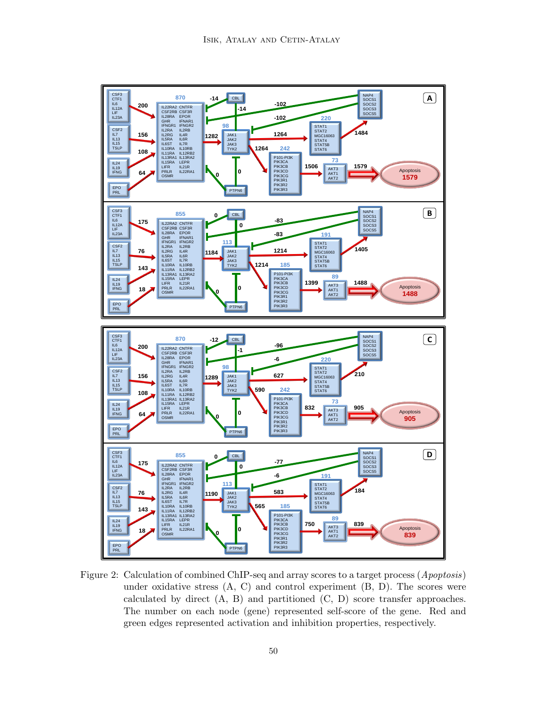

Figure 2: Calculation of combined ChIP-seq and array scores to a target process (Apoptosis) under oxidative stress  $(A, C)$  and control experiment  $(B, D)$ . The scores were calculated by direct  $(A, B)$  and partitioned  $(C, D)$  score transfer approaches. The number on each node (gene) represented self-score of the gene. Red and green edges represented activation and inhibition properties, respectively.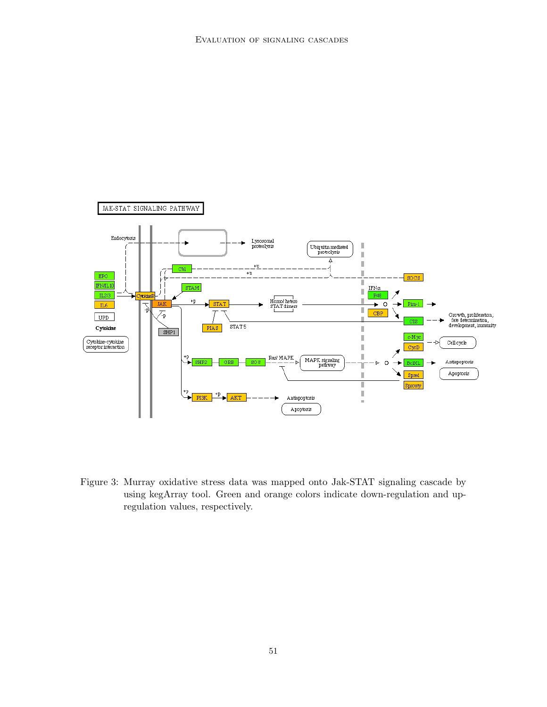

Figure 3: Murray oxidative stress data was mapped onto Jak-STAT signaling cascade by using kegArray tool. Green and orange colors indicate down-regulation and upregulation values, respectively.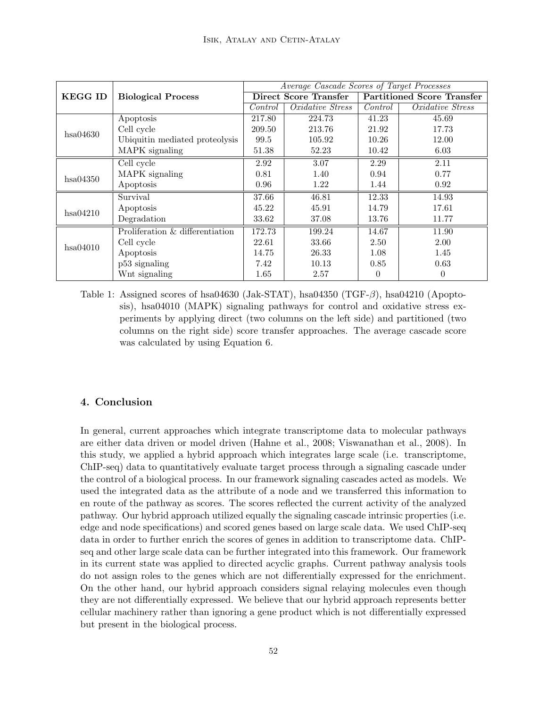|                |                                    | Average Cascade Scores of Target Processes |                         |                                   |                  |
|----------------|------------------------------------|--------------------------------------------|-------------------------|-----------------------------------|------------------|
| <b>KEGG ID</b> | <b>Biological Process</b>          | Direct Score Transfer                      |                         | <b>Partitioned Score Transfer</b> |                  |
|                |                                    | Control                                    | <i>Oxidative Stress</i> | Control                           | Oxidative Stress |
| hsa04630       | Apoptosis                          | 217.80                                     | 224.73                  | 41.23                             | 45.69            |
|                | Cell cycle                         | 209.50                                     | 213.76                  | 21.92                             | 17.73            |
|                | Ubiquitin mediated proteolysis     | 99.5                                       | 105.92                  | 10.26                             | 12.00            |
|                | MAPK signaling                     | 51.38                                      | 52.23                   | 10.42                             | 6.03             |
|                | Cell cycle                         | 2.92                                       | 3.07                    | 2.29                              | 2.11             |
| hsa04350       | MAPK signaling                     | 0.81                                       | 1.40                    | 0.94                              | 0.77             |
|                | Apoptosis                          | 0.96                                       | 1.22                    | 1.44                              | 0.92             |
|                | Survival                           | 37.66                                      | 46.81                   | 12.33                             | 14.93            |
| hsa04210       | Apoptosis                          | 45.22                                      | 45.91                   | 14.79                             | 17.61            |
|                | Degradation                        | 33.62                                      | 37.08                   | 13.76                             | 11.77            |
| hsa04010       | Proliferation $\&$ differentiation | 172.73                                     | 199.24                  | 14.67                             | 11.90            |
|                | Cell cycle                         | 22.61                                      | 33.66                   | 2.50                              | 2.00             |
|                | Apoptosis                          | 14.75                                      | 26.33                   | 1.08                              | 1.45             |
|                | p53 signaling                      | 7.42                                       | 10.13                   | 0.85                              | 0.63             |
|                | Wnt signaling                      | 1.65                                       | 2.57                    | $\Omega$                          | 0                |

Table 1: Assigned scores of hsa04630 (Jak-STAT), hsa04350 (TGF-β), hsa04210 (Apoptosis), hsa04010 (MAPK) signaling pathways for control and oxidative stress experiments by applying direct (two columns on the left side) and partitioned (two columns on the right side) score transfer approaches. The average cascade score was calculated by using Equation 6.

# 4. Conclusion

In general, current approaches which integrate transcriptome data to molecular pathways are either data driven or model driven (Hahne et al., 2008; Viswanathan et al., 2008). In this study, we applied a hybrid approach which integrates large scale (i.e. transcriptome, ChIP-seq) data to quantitatively evaluate target process through a signaling cascade under the control of a biological process. In our framework signaling cascades acted as models. We used the integrated data as the attribute of a node and we transferred this information to en route of the pathway as scores. The scores reflected the current activity of the analyzed pathway. Our hybrid approach utilized equally the signaling cascade intrinsic properties (i.e. edge and node specifications) and scored genes based on large scale data. We used ChIP-seq data in order to further enrich the scores of genes in addition to transcriptome data. ChIPseq and other large scale data can be further integrated into this framework. Our framework in its current state was applied to directed acyclic graphs. Current pathway analysis tools do not assign roles to the genes which are not differentially expressed for the enrichment. On the other hand, our hybrid approach considers signal relaying molecules even though they are not differentially expressed. We believe that our hybrid approach represents better cellular machinery rather than ignoring a gene product which is not differentially expressed but present in the biological process.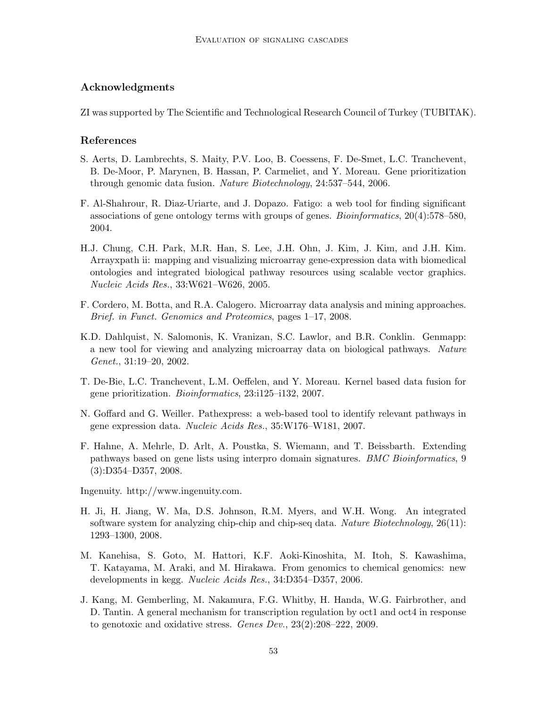# Acknowledgments

ZI was supported by The Scientific and Technological Research Council of Turkey (TUBITAK).

### References

- S. Aerts, D. Lambrechts, S. Maity, P.V. Loo, B. Coessens, F. De-Smet, L.C. Tranchevent, B. De-Moor, P. Marynen, B. Hassan, P. Carmeliet, and Y. Moreau. Gene prioritization through genomic data fusion. Nature Biotechnology, 24:537–544, 2006.
- F. Al-Shahrour, R. Diaz-Uriarte, and J. Dopazo. Fatigo: a web tool for finding significant associations of gene ontology terms with groups of genes. Bioinformatics, 20(4):578–580, 2004.
- H.J. Chung, C.H. Park, M.R. Han, S. Lee, J.H. Ohn, J. Kim, J. Kim, and J.H. Kim. Arrayxpath ii: mapping and visualizing microarray gene-expression data with biomedical ontologies and integrated biological pathway resources using scalable vector graphics. Nucleic Acids Res., 33:W621–W626, 2005.
- F. Cordero, M. Botta, and R.A. Calogero. Microarray data analysis and mining approaches. Brief. in Funct. Genomics and Proteomics, pages 1–17, 2008.
- K.D. Dahlquist, N. Salomonis, K. Vranizan, S.C. Lawlor, and B.R. Conklin. Genmapp: a new tool for viewing and analyzing microarray data on biological pathways. Nature Genet., 31:19–20, 2002.
- T. De-Bie, L.C. Tranchevent, L.M. Oeffelen, and Y. Moreau. Kernel based data fusion for gene prioritization. Bioinformatics, 23:i125–i132, 2007.
- N. Goffard and G. Weiller. Pathexpress: a web-based tool to identify relevant pathways in gene expression data. Nucleic Acids Res., 35:W176–W181, 2007.
- F. Hahne, A. Mehrle, D. Arlt, A. Poustka, S. Wiemann, and T. Beissbarth. Extending pathways based on gene lists using interpro domain signatures. BMC Bioinformatics, 9 (3):D354–D357, 2008.
- Ingenuity. http://www.ingenuity.com.
- H. Ji, H. Jiang, W. Ma, D.S. Johnson, R.M. Myers, and W.H. Wong. An integrated software system for analyzing chip-chip and chip-seq data. Nature Biotechnology, 26(11): 1293–1300, 2008.
- M. Kanehisa, S. Goto, M. Hattori, K.F. Aoki-Kinoshita, M. Itoh, S. Kawashima, T. Katayama, M. Araki, and M. Hirakawa. From genomics to chemical genomics: new developments in kegg. Nucleic Acids Res., 34:D354–D357, 2006.
- J. Kang, M. Gemberling, M. Nakamura, F.G. Whitby, H. Handa, W.G. Fairbrother, and D. Tantin. A general mechanism for transcription regulation by oct1 and oct4 in response to genotoxic and oxidative stress. Genes Dev., 23(2):208–222, 2009.